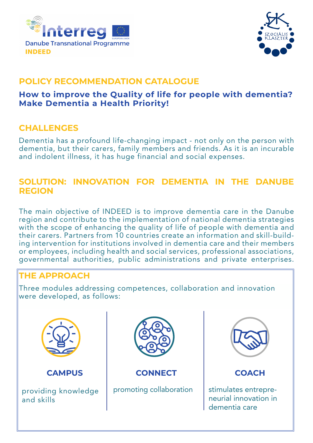



## **POLICY RECOMMENDATION CATALOGUE**

#### **How to improve the Quality of life for people with dementia? Make Dementia a Health Priority!**

#### **CHALLENGES**

Dementia has a profound life-changing impact - not only on the person with dementia, but their carers, family members and friends. As it is an incurable and indolent illness, it has huge financial and social expenses.

#### **SOLUTION: INNOVATION FOR DEMENTIA IN THE DANUBE REGION**

The main objective of INDEED is to improve dementia care in the Danube region and contribute to the implementation of national dementia strategies with the scope of enhancing the quality of life of people with dementia and their carers. Partners from 10 countries create an information and skill-building intervention for institutions involved in dementia care and their members or employees, including health and social services, professional associations, governmental authorities, public administrations and private enterprises.

## **THE APPROACH**

Three modules addressing competences, collaboration and innovation were developed, as follows:



**CAMPUS**

providing knowledge and skills



**CONNECT**

promoting collaboration



## **COACH**

stimulates entrepreneurial innovation in dementia care